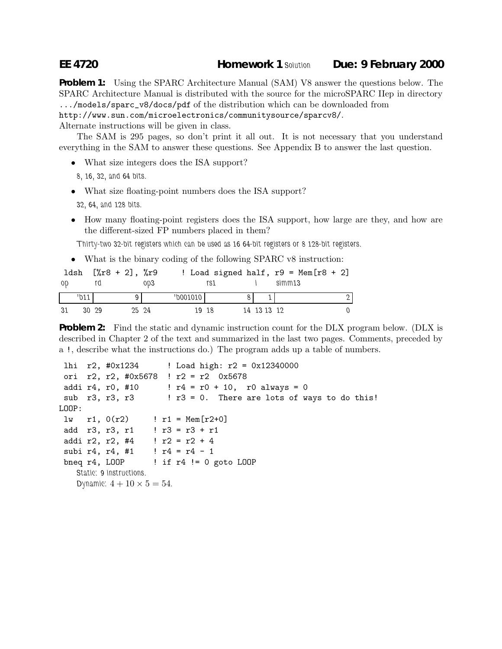## **EE 4720 Homework 1** *Solution* **Due: 9 February 2000**

**Problem 1:** Using the SPARC Architecture Manual (SAM) V8 answer the questions below. The SPARC Architecture Manual is distributed with the source for the microSPARC IIep in directory .../models/sparc\_v8/docs/pdf of the distribution which can be downloaded from

http://www.sun.com/microelectronics/communitysource/sparcv8/.

Alternate instructions will be given in class.

The SAM is 295 pages, so don't print it all out. It is not necessary that you understand everything in the SAM to answer these questions. See Appendix B to answer the last question.

- What size integers does the ISA support?
- *8, 16, 32, and 64 bits.*
- What size floating-point numbers does the ISA support?
	- *32, 64, and 128 bits.*
- How many floating-point registers does the ISA support, how large are they, and how are the different-sized FP numbers placed in them?

*Thirty-two 32-bit registers which can be used as 16 64-bit registers or 8 128-bit registers.*

• What is the binary coding of the following SPARC v8 instruction:

|      |          | $1dsh$ $[\%r8 + 2], \%r9$ |     |          |     |             | ! Load signed half, $r9 = \text{Mem}[r8 + 2]$ |  |
|------|----------|---------------------------|-----|----------|-----|-------------|-----------------------------------------------|--|
| - OD |          |                           | 0D3 |          | rs1 |             | simm13                                        |  |
|      |          |                           |     | 'b001010 |     |             |                                               |  |
| -31  | $30^{9}$ | 25 24                     |     | 19 18    |     | 14 13 13 12 |                                               |  |

**Problem 2:** Find the static and dynamic instruction count for the DLX program below. (DLX is described in Chapter 2 of the text and summarized in the last two pages. Comments, preceded by a !, describe what the instructions do.) The program adds up a table of numbers.

```
lhi r2, #0x1234 ! Load high: r2 = 0x12340000
 ori r2, r2, #0x5678 ! r2 = r2 0x5678
 addi r4, r0, #10 : r4 = r0 + 10, r0 always = 0
 sub r3, r3, r3 : 73 = 0. There are lots of ways to do this!
LOOP:
 lw r1, 0(r2) ! r1 = Mem[r2+0]
 add r3, r3, r1 : 1 \times 3 = 73 + 11addi r2, r2, #4 \; ! r2 = r2 + 4
 subi r4, r4, #1 ! r4 = r4 - 1
 bneq r4, LOOP ! if r4 != 0 goto LOOP
   Static: 9 instructions.
   Dynamic: 4 + 10 \times 5 = 54.
```